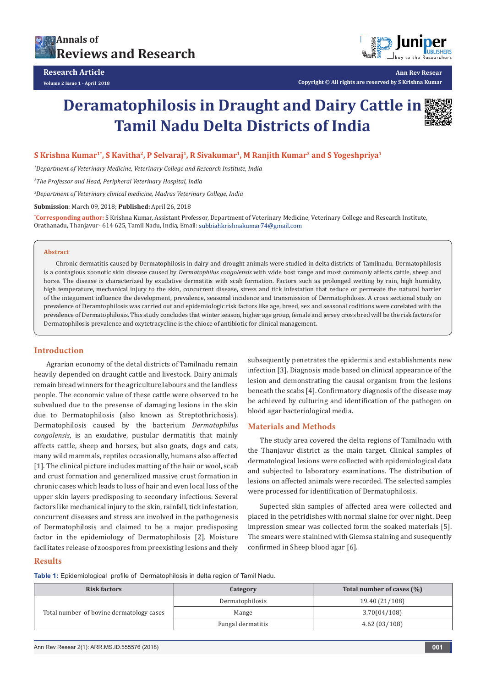



**Ann Rev Resear**

**Copyright © All rights are reserved by S Krishna Kumar**

# **Deramatophilosis in Draught and Dairy Cattle in Tamil Nadu Delta Districts of India**



# S Krishna Kumar<sup>1\*</sup>, S Kavitha<sup>2</sup>, P Selvaraj<sup>1</sup>, R Sivakumar<sup>1</sup>, M Ranjith Kumar<sup>3</sup> and S Yogeshpriya<sup>1</sup>

*1 Department of Veterinary Medicine, Veterinary College and Research Institute, India*

*2 The Professor and Head, Peripheral Veterinary Hospital, India*

*3 Department of Veterinary clinical medicine, Madras Veterinary College, India*

**Submission**: March 09, 2018; **Published:** April 26, 2018

**\* Corresponding author:** S Krishna Kumar, Assistant Professor, Department of Veterinary Medicine, Veterinary College and Research Institute, Orathanadu, Thanjavur- 614 625, Tamil Nadu, India, Email:

#### **Abstract**

Chronic dermatitis caused by Dermatophilosis in dairy and drought animals were studied in delta districts of Tamilnadu. Dermatophilosis is a contagious zoonotic skin disease caused by *Dermatophilus congolensis* with wide host range and most commonly affects cattle, sheep and horse. The disease is characterized by exudative dermatitis with scab formation. Factors such as prolonged wetting by rain, high humidity, high temperature, mechanical injury to the skin, concurrent disease, stress and tick infestation that reduce or permeate the natural barrier of the integument influence the development, prevalence, seasonal incidence and transmission of Dermatophilosis. A cross sectional study on prevalence of Deramtophilosis was carried out and epidemiologic risk factors like age, breed, sex and seasonal coditions were corelated with the prevalence of Dermatophilosis. This study concludes that winter season, higher age group, female and jersey cross bred will be the risk factors for Dermatophilosis prevalence and oxytetracycline is the chioce of antibiotic for clinical management.

#### **Introduction**

Agrarian economy of the detal districts of Tamilnadu remain heavily depended on draught cattle and livestock. Dairy animals remain bread winners for the agriculture labours and the landless people. The economic value of these cattle were observed to be subvalued due to the presense of damaging lesions in the skin due to Dermatophilosis (also known as Streptothrichosis). Dermatophilosis caused by the bacterium *Dermatophilus congolensis*, is an exudative, pustular dermatitis that mainly affects cattle, sheep and horses, but also goats, dogs and cats, many wild mammals, reptiles occasionally, humans also affected [1]. The clinical picture includes matting of the hair or wool, scab and crust formation and generalized massive crust formation in chronic cases which leads to loss of hair and even local loss of the upper skin layers predisposing to secondary infections. Several factors like mechanical injury to the skin, rainfall, tick infestation, concurrent diseases and stress are involved in the pathogenesis of Dermatophilosis and claimed to be a major predisposing factor in the epidemiology of Dermatophilosis [2]. Moisture facilitates release of zoospores from preexisting lesions and theiy subsequently penetrates the epidermis and establishments new infection [3]. Diagnosis made based on clinical appearance of the lesion and demonstrating the causal organism from the lesions beneath the scabs [4]. Confirmatory diagnosis of the disease may be achieved by culturing and identification of the pathogen on blood agar bacteriological media.

## **Materials and Methods**

The study area covered the delta regions of Tamilnadu with the Thanjavur district as the main target. Clinical samples of dermatological lesions were collected with epidemiological data and subjected to laboratory examinations. The distribution of lesions on affected animals were recorded. The selected samples were processed for identification of Dermatophilosis.

Supected skin samples of affected area were collected and placed in the petridishes with normal slaine for over night. Deep impression smear was collected form the soaked materials [5]. The smears were stainined with Giemsa staining and susequently confirmed in Sheep blood agar [6].

#### **Results**

**Table 1:** Epidemiological profile of Dermatophilosis in delta region of Tamil Nadu.

| <b>Risk factors</b>                      | Category          | Total number of cases (%) |
|------------------------------------------|-------------------|---------------------------|
| Total number of bovine dermatology cases | Dermatophilosis   | 19.40 (21/108)            |
|                                          | Mange             | 3.70(04/108)              |
|                                          | Fungal dermatitis | 4.62(03/108)              |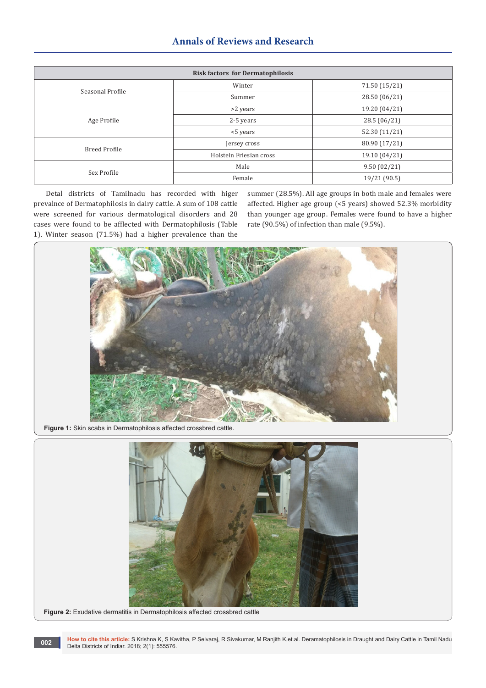# **Annals of Reviews and Research**

| <b>Risk factors for Dermatophilosis</b> |                         |               |
|-----------------------------------------|-------------------------|---------------|
| Seasonal Profile                        | Winter                  | 71.50 (15/21) |
|                                         | Summer                  | 28.50 (06/21) |
| Age Profile                             | >2 years                | 19.20 (04/21) |
|                                         | 2-5 years               | 28.5 (06/21)  |
|                                         | <5 years                | 52.30 (11/21) |
| <b>Breed Profile</b>                    | Jersey cross            | 80.90 (17/21) |
|                                         | Holstein Friesian cross | 19.10 (04/21) |
| Sex Profile                             | Male                    | 9.50(02/21)   |
|                                         | Female                  | 19/21 (90.5)  |

Detal districts of Tamilnadu has recorded with higer prevalnce of Dermatophilosis in dairy cattle. A sum of 108 cattle were screened for various dermatological disorders and 28 cases were found to be afflected with Dermatophilosis (Table 1). Winter season (71.5%) had a higher prevalence than the

summer (28.5%). All age groups in both male and females were affected. Higher age group (<5 years) showed 52.3% morbidity than younger age group. Females were found to have a higher rate (90.5%) of infection than male (9.5%).



Figure 1: Skin scabs in Dermatophilosis affected crossbred cattle.



**Figure 2:** Exudative dermatitis in Dermatophilosis affected crossbred cattle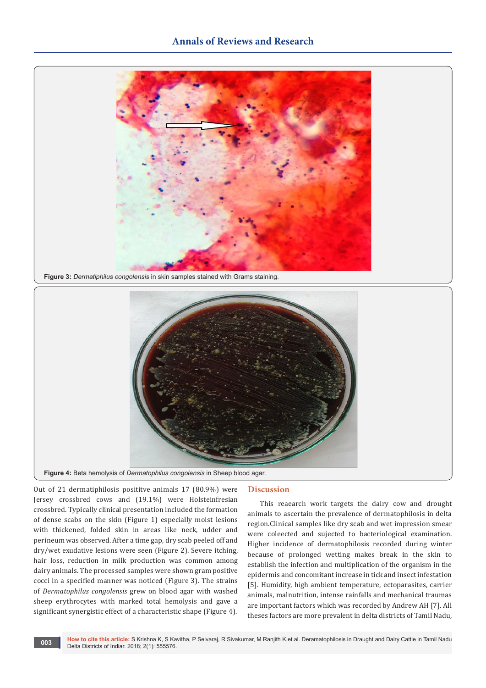

**Figure 3:** *Dermatiphilus congolensis* in skin samples stained with Grams staining.



Out of 21 dermatiphilosis posititve animals 17 (80.9%) were Jersey crossbred cows and (19.1%) were Holsteinfresian crossbred. Typically clinical presentation included the formation of dense scabs on the skin (Figure 1) especially moist lesions with thickened, folded skin in areas like neck, udder and perineum was observed. After a time gap, dry scab peeled off and dry/wet exudative lesions were seen (Figure 2). Severe itching, hair loss, reduction in milk production was common among dairy animals. The processed samples were shown gram positive cocci in a specified manner was noticed (Figure 3). The strains of *Dermatophilus congolensis* grew on blood agar with washed sheep erythrocytes with marked total hemolysis and gave a significant synergistic effect of a characteristic shape (Figure 4).

#### **Discussion**

This reaearch work targets the dairy cow and drought animals to ascertain the prevalence of dermatophilosis in delta region.Clinical samples like dry scab and wet impression smear were coleected and sujected to bacteriological examination. Higher incidence of dermatophilosis recorded during winter because of prolonged wetting makes break in the skin to establish the infection and multiplication of the organism in the epidermis and concomitant increase in tick and insect infestation [5]. Humidity, high ambient temperature, ectoparasites, carrier animals, malnutrition, intense rainfalls and mechanical traumas are important factors which was recorded by Andrew AH [7]. All theses factors are more prevalent in delta districts of Tamil Nadu,